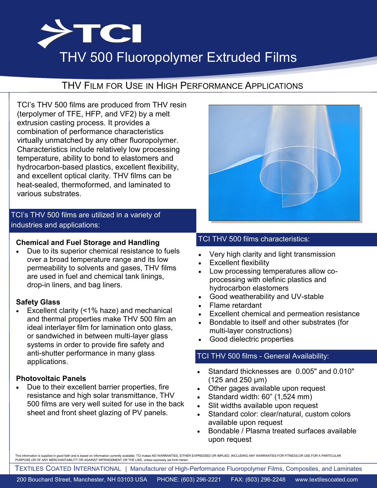

# THV 500 Fluoropolymer Extruded Films

# THV FILM FOR USE IN HIGH PERFORMANCE APPLICATIONS

TCI's THV 500 films are produced from THV resin (terpolymer of TFE, HFP, and VF2) by a melt extrusion casting process. It provides a combination of performance characteristics virtually unmatched by any other fluoropolymer. Characteristics include relatively low processing temperature, ability to bond to elastomers and hydrocarbon-based plastics, excellent flexibility, and excellent optical clarity. THV films can be heat-sealed, thermoformed, and laminated to various substrates.

## TCI's THV 500 films are utilized in a variety of industries and applications:

#### **Chemical and Fuel Storage and Handling**

 Due to its superior chemical resistance to fuels over a broad temperature range and its low permeability to solvents and gases, THV films are used in fuel and chemical tank linings, drop-in liners, and bag liners.

#### **Safety Glass**

 Excellent clarity (<1% haze) and mechanical and thermal properties make THV 500 film an ideal interlayer film for lamination onto glass, or sandwiched in between multi-layer glass systems in order to provide fire safety and anti-shutter performance in many glass applications.

#### **Photovoltaic Panels**

 Due to their excellent barrier properties, fire resistance and high solar transmittance, THV 500 films are very well suited for use in the back sheet and front sheet glazing of PV panels.



### TCI THV 500 films characteristics:

- Very high clarity and light transmission
- Excellent flexibility
- Low processing temperatures allow coprocessing with olefinic plastics and hydrocarbon elastomers
- Good weatherability and UV-stable
- Flame retardant
- Excellent chemical and permeation resistance
- Bondable to itself and other substrates (for multi-layer constructions)
- Good dielectric properties

#### TCI THV 500 films - General Availability:

- Standard thicknesses are 0.005" and 0.010" (125 and 250 μm)
- Other gages available upon request
- Standard width: 60" (1,524 mm)
- Slit widths available upon request
- Standard color: clear/natural, custom colors available upon request
- Bondable / Plasma treated surfaces available upon request

This information is supplied in good faith and is based on information currently available. TCI makes NO WARRANTIES, EITHER EXP PURPOSE, OR OF ANY MERCHANTABILITY OR AGAINST INFRINGEMENT OR THE LIKE, unless expressly set forth herein.

TEXTILES COATED INTERNATIONAL | Manufacturer of High-Performance Fluoropolymer Films, Composites, and Laminates

200 Bouchard Street, Manchester, NH 03103 USA PHONE: (603) 296-2221 FAX: (603) 296-2248 www.textilescoated.com